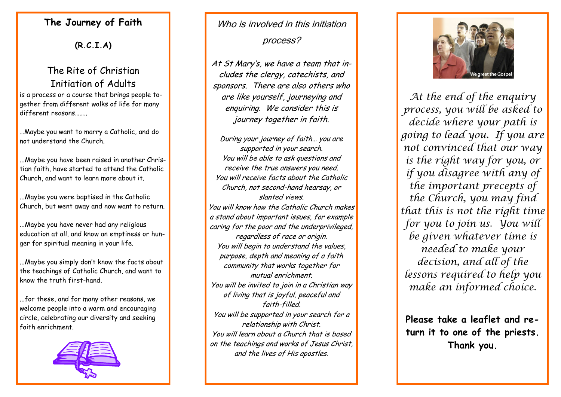## **The Journey of Faith**

**(R.C.I.A)**

# The Rite of Christian Initiation of Adults

is a process or a course that brings people together from different walks of life for many different reasons……..

…Maybe you want to marry a Catholic, and do not understand the Church.

...Maybe you have been raised in another Christian faith, have started to attend the Catholic Church, and want to learn more about it.

...Maybe you were baptised in the Catholic Church, but went away and now want to return.

...Maybe you have never had any religious education at all, and know an emptiness or hunger for spiritual meaning in your life.

...Maybe you simply don't know the facts about the teachings of Catholic Church, and want to know the truth first-hand.

...for these, and for many other reasons, we welcome people into a warm and encouraging circle, celebrating our diversity and seeking faith enrichment.



# Who is involved in this initiation process?

At St Mary's, we have a team that includes the clergy, catechists, and sponsors. There are also others who are like yourself, journeying and enquiring. We consider this is journey together in faith.

During your journey of faith… you are supported in your search. You will be able to ask questions and receive the true answers you need. You will receive facts about the Catholic Church, not second-hand hearsay, or slanted views. You will know how the Catholic Church makes a stand about important issues, for example caring for the poor and the underprivileged, regardless of race or origin. You will begin to understand the values, purpose, depth and meaning of a faith community that works together for mutual enrichment. You will be invited to join in a Christian way of living that is joyful, peaceful and faith-filled. You will be supported in your search for a relationship with Christ. You will learn about a Church that is based on the teachings and works of Jesus Christ, and the lives of His apostles.



*At the end of the enquiry process, you will be asked to decide where your path is going to lead you. If you are not convinced that our way is the right way for you, or if you disagree with any of the important precepts of the Church, you may find that this is not the right time for you to join us. You will be given whatever time is needed to make your decision, and all of the lessons required to help you make an informed choice.*

**Please take a leaflet and return it to one of the priests. Thank you.**